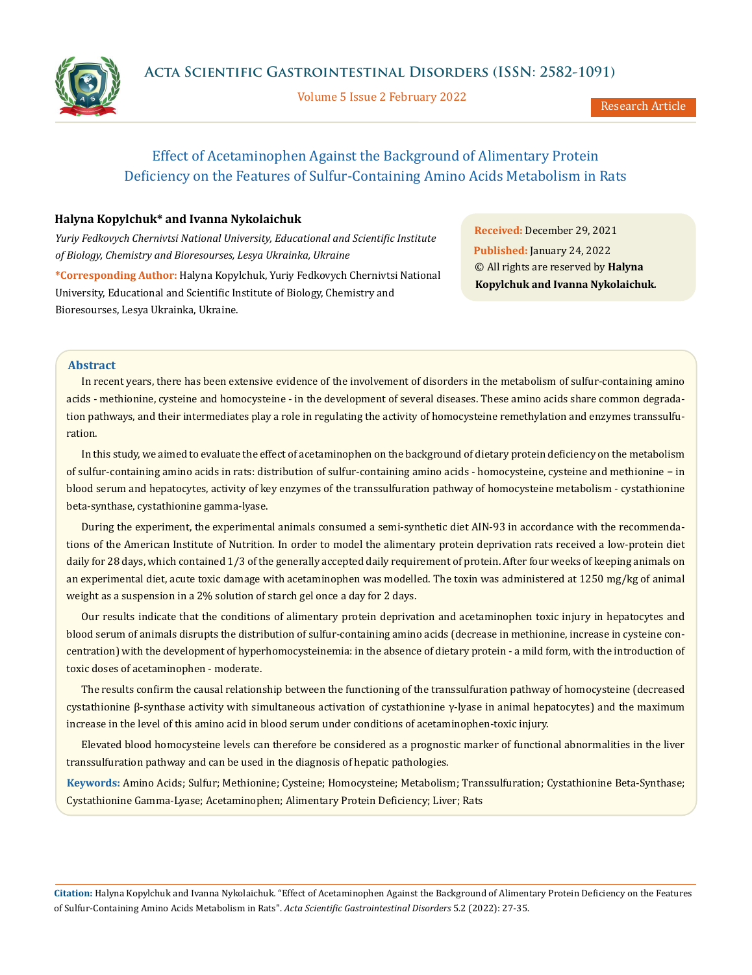Volume 5 Issue 2 February 2022



Research Article

# Effect of Acetaminophen Against the Background of Alimentary Protein Deficiency on the Features of Sulfur-Containing Amino Acids Metabolism in Rats

## **Нalyna Kopylchuk\* and Ivanna Nykolaichuk**

*Yuriy Fedkovych Chernivtsi National University, Educational and Scientific Institute of Biology, Chemistry and Bioresourses, Lesya Ukrainka, Ukraine*

**\*Corresponding Author:** Нalyna Kopylchuk, Yuriy Fedkovych Chernivtsi National University, Educational and Scientific Institute of Biology, Chemistry and Bioresourses, Lesya Ukrainka, Ukraine.

**Received:** December 29, 2021 **Published:** January 24, 2022 © All rights are reserved by **Нalyna Kopylchuk and Ivanna Nykolaichuk***.*

## **Abstract**

In recent years, there has been extensive evidence of the involvement of disorders in the metabolism of sulfur-containing amino acids - methionine, cysteine and homocysteine - in the development of several diseases. These amino acids share common degradation pathways, and their intermediates play a role in regulating the activity of homocysteine remethylation and enzymes transsulfuration.

In this study, we aimed to evaluate the effect of acetaminophen on the background of dietary protein deficiency on the metabolism of sulfur-containing amino acids in rats: distribution of sulfur-containing amino acids - homocysteine, cysteine and methionine − in blood serum and hepatocytes, activity of key enzymes of the transsulfuration pathway of homocysteine metabolism - cystathionine beta-synthase, сystathionine gamma-lyase.

During the experiment, the experimental animals consumed a semi-synthetic diet AIN-93 in accordance with the recommendations of the American Institute of Nutrition. In order to model the alimentary protein deprivation rats received a low-protein diet daily for 28 days, which contained 1/3 of the generally accepted daily requirement of protein. After four weeks of keeping animals on an experimental diet, acute toxic damage with acetaminophen was modelled. The toxin was administered at 1250 mg/kg of animal weight as a suspension in a 2% solution of starch gel once a day for 2 days.

Our results indicate that the conditions of alimentary protein deprivation and acetaminophen toxic injury in hepatocytes and blood serum of animals disrupts the distribution of sulfur-containing amino acids (decrease in methionine, increase in cysteine concentration) with the development of hyperhomocysteinemia: in the absence of dietary protein - a mild form, with the introduction of toxic doses of acetaminophen - moderate.

The results confirm the causal relationship between the functioning of the transsulfuration pathway of homocysteine (decreased cystathionine β-synthase activity with simultaneous activation of cystathionine γ-lyase in animal hepatocytes) and the maximum increase in the level of this amino acid in blood serum under conditions of acetaminophen-toxic injury.

Elevated blood homocysteine levels can therefore be considered as a prognostic marker of functional abnormalities in the liver transsulfuration pathway and can be used in the diagnosis of hepatic pathologies.

**Keywords:** Amino Acids; Sulfur; Methionine; Cysteine; Homocysteine; Metabolism; Transsulfuration; Сystathionine Beta-Synthase; Сystathionine Gamma-Lyase; Acetaminophen; Alimentary Protein Deficiency; Liver; Rats

**Citation:** Нalyna Kopylchuk and Ivanna Nykolaichuk*.* "Effect of Acetaminophen Against the Background of Alimentary Protein Deficiency on the Features of Sulfur-Containing Amino Acids Metabolism in Rats". *Acta Scientific Gastrointestinal Disorders* 5.2 (2022): 27-35.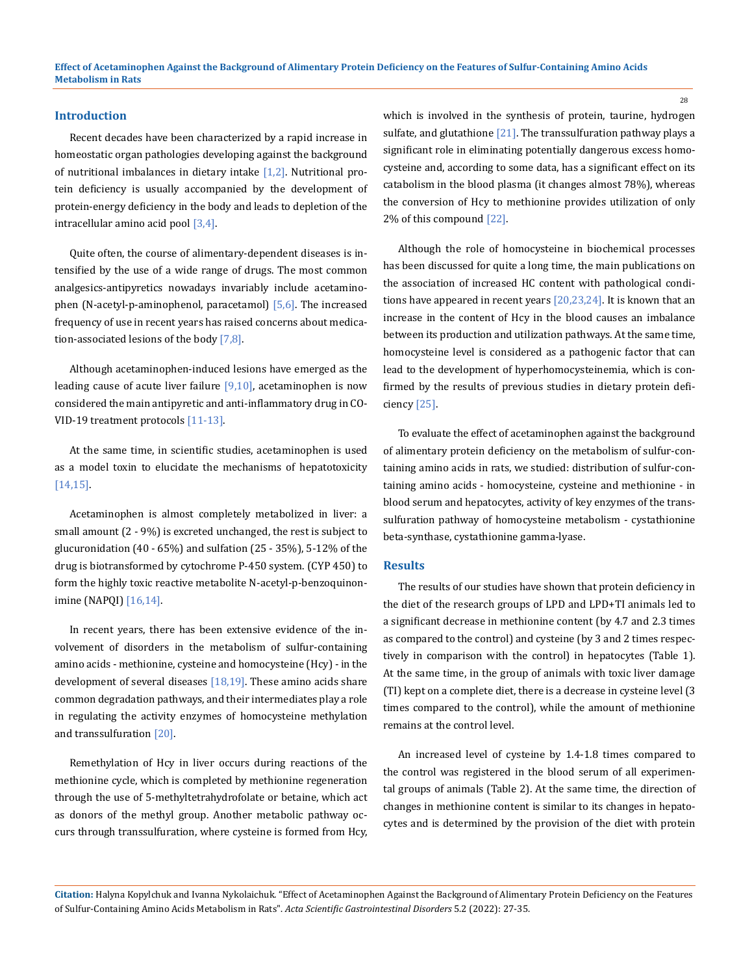#### **Introduction**

Recent decades have been characterized by a rapid increase in homeostatic organ pathologies developing against the background of nutritional imbalances in dietary intake  $[1,2]$ . Nutritional protein deficiency is usually accompanied by the development of protein-energy deficiency in the body and leads to depletion of the intracellular amino acid pool [3,4].

Quite often, the course of alimentary-dependent diseases is intensified by the use of a wide range of drugs. The most common analgesics-antipyretics nowadays invariably include acetaminophen (N-acetyl-p-aminophenol, paracetamol) [5,6]. The increased frequency of use in recent years has raised concerns about medication-associated lesions of the body [7,8].

Although acetaminophen-induced lesions have emerged as the leading cause of acute liver failure  $[9,10]$ , acetaminophen is now considered the main antipyretic and anti-inflammatory drug in CO-VID-19 treatment protocols [11-13].

At the same time, in scientific studies, acetaminophen is used as a model toxin to elucidate the mechanisms of hepatotoxicity [14,15].

Acetaminophen is almost completely metabolized in liver: a small amount (2 - 9%) is excreted unchanged, the rest is subject to glucuronidation (40 - 65%) and sulfation (25 - 35%), 5-12% of the drug is biotransformed by cytochrome P-450 system. (CYP 450) to form the highly toxic reactive metabolite N-acetyl-p-benzoquinonimine (NAPQI) [16,14].

In recent years, there has been extensive evidence of the involvement of disorders in the metabolism of sulfur-containing amino acids - methionine, cysteine and homocysteine (Hcy) - in the development of several diseases [18,19]. These amino acids share common degradation pathways, and their intermediates play a role in regulating the activity enzymes of homocysteine methylation and transsulfuration [20].

Remethylation of Hcy in liver occurs during reactions of the methionine cycle, which is completed by methionine regeneration through the use of 5-methyltetrahydrofolate or betaine, which act as donors of the methyl group. Another metabolic pathway occurs through transsulfuration, where cysteine is formed from Hcy,

which is involved in the synthesis of protein, taurine, hydrogen sulfate, and glutathione  $[21]$ . The transsulfuration pathway plays a significant role in eliminating potentially dangerous excess homocysteine and, according to some data, has a significant effect on its catabolism in the blood plasma (it changes almost 78%), whereas the conversion of Hcy to methionine provides utilization of only 2% of this compound [22].

Although the role of homocysteine in biochemical processes has been discussed for quite a long time, the main publications on the association of increased HC content with pathological conditions have appeared in recent years [20,23,24]. It is known that an increase in the content of Hcy in the blood causes an imbalance between its production and utilization pathways. At the same time, homocysteine level is considered as a pathogenic factor that can lead to the development of hyperhomocysteinemia, which is confirmed by the results of previous studies in dietary protein deficiency [25].

To evaluate the effect of acetaminophen against the background of alimentary protein deficiency on the metabolism of sulfur-containing amino acids in rats, we studied: distribution of sulfur-containing amino acids - homocysteine, cysteine and methionine - in blood serum and hepatocytes, activity of key enzymes of the transsulfuration pathway of homocysteine metabolism - сystathionine beta-synthase, сystathionine gamma-lyase.

#### **Results**

The results of our studies have shown that protein deficiency in the diet of the research groups of LPD and LPD+TI animals led to a significant decrease in methionine content (by 4.7 and 2.3 times as compared to the control) and cysteine (by 3 and 2 times respectively in comparison with the control) in hepatocytes (Table 1). At the same time, in the group of animals with toxic liver damage (TI) kept on a complete diet, there is a decrease in cysteine level (3 times compared to the control), while the amount of methionine remains at the control level.

An increased level of cysteine by 1.4-1.8 times compared to the control was registered in the blood serum of all experimental groups of animals (Table 2). At the same time, the direction of changes in methionine content is similar to its changes in hepatocytes and is determined by the provision of the diet with protein

**Citation:** Нalyna Kopylchuk and Ivanna Nykolaichuk*.* "Effect of Acetaminophen Against the Background of Alimentary Protein Deficiency on the Features of Sulfur-Containing Amino Acids Metabolism in Rats". *Acta Scientific Gastrointestinal Disorders* 5.2 (2022): 27-35.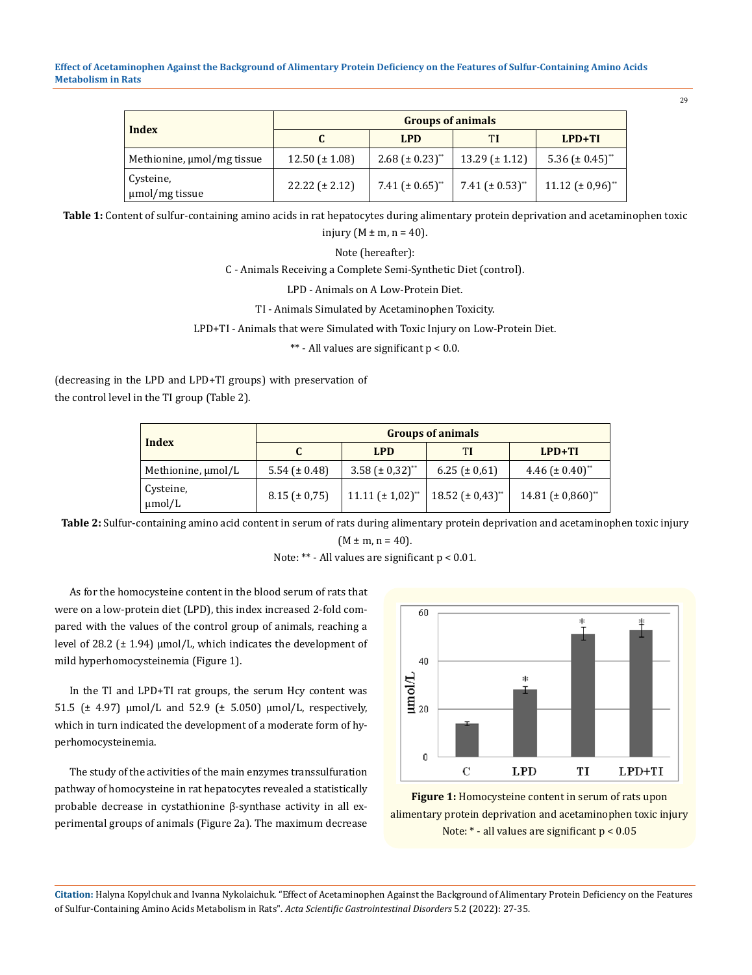| <b>Index</b>                | <b>Groups of animals</b> |                                  |                                  |                                 |  |
|-----------------------------|--------------------------|----------------------------------|----------------------------------|---------------------------------|--|
|                             |                          | LPD.                             | TI                               | $LPD+TI$                        |  |
| Methionine, umol/mg tissue  | $12.50 \ (\pm 1.08)$     | 2.68 ( $\pm$ 0.23) <sup>**</sup> | $13.29 \pm 1.12$                 | 5.36 $(\pm 0.45)$ <sup>**</sup> |  |
| Cysteine,<br>µmol/mg tissue | $22.22 (\pm 2.12)$       | 7.41 $(\pm 0.65)$ <sup>**</sup>  | 7.41 ( $\pm$ 0.53) <sup>**</sup> | $11.12 \ (\pm 0.96)^{**}$       |  |

**Table 1:** Content of sulfur-containing amino acids in rat hepatocytes during alimentary protein deprivation and acetaminophen toxic injury ( $M \pm m$ , n = 40).

Note (hereafter):

C - Animals Receiving a Complete Semi-Synthetic Diet (control).

LPD - Animals on A Low-Protein Diet.

TI - Animals Simulated by Acetaminophen Toxicity.

LPD+TI - Animals that were Simulated with Toxic Injury on Low-Protein Diet.

\*\* - All values are significant p < 0.0.

(decreasing in the LPD and LPD+TI groups) with preservation of the control level in the TI group (Table 2).

| Index                    | <b>Groups of animals</b> |                                  |                           |                                   |  |
|--------------------------|--------------------------|----------------------------------|---------------------------|-----------------------------------|--|
|                          |                          | <b>LPD</b>                       | ТI                        | $LPD+TI$                          |  |
| Methionine, µmol/L       | 5.54 $(\pm 0.48)$        | 3.58 ( $\pm$ 0.32) <sup>**</sup> | $6.25 (\pm 0.61)$         | 4.46 ( $\pm$ 0.40) <sup>**</sup>  |  |
| Cysteine,<br>$\mu$ mol/L | $8.15 (\pm 0.75)$        | $11.11 \ (\pm 1.02)^{**}$        | $18.52 \ (\pm 0.43)^{**}$ | 14.81 $(\pm 0.860)$ <sup>**</sup> |  |

**Table 2:** Sulfur-containing amino acid content in serum of rats during alimentary protein deprivation and acetaminophen toxic injury  $(M \pm m, n = 40)$ .

Note: \*\* - All values are significant p < 0.01*.*

As for the homocysteine content in the blood serum of rats that were on a low-protein diet (LPD), this index increased 2-fold compared with the values of the control group of animals, reaching a level of 28.2 ( $\pm$  1.94)  $\mu$ mol/L, which indicates the development of mild hyperhomocysteinemia (Figure 1).

In the TI and LPD+TI rat groups, the serum Hcy content was 51.5 (± 4.97) μmol/L and 52.9 (± 5.050) μmol/L, respectively, which in turn indicated the development of a moderate form of hyperhomocysteinemia.

The study of the activities of the main enzymes transsulfuration pathway of homocysteine in rat hepatocytes revealed a statistically probable decrease in cystathionine β-synthase activity in all experimental groups of animals (Figure 2a). The maximum decrease



**Figure 1:** Homocysteine content in serum of rats upon alimentary protein deprivation and acetaminophen toxic injury Note: \* - all values are significant p < 0.05

**Citation:** Нalyna Kopylchuk and Ivanna Nykolaichuk*.* "Effect of Acetaminophen Against the Background of Alimentary Protein Deficiency on the Features of Sulfur-Containing Amino Acids Metabolism in Rats". *Acta Scientific Gastrointestinal Disorders* 5.2 (2022): 27-35.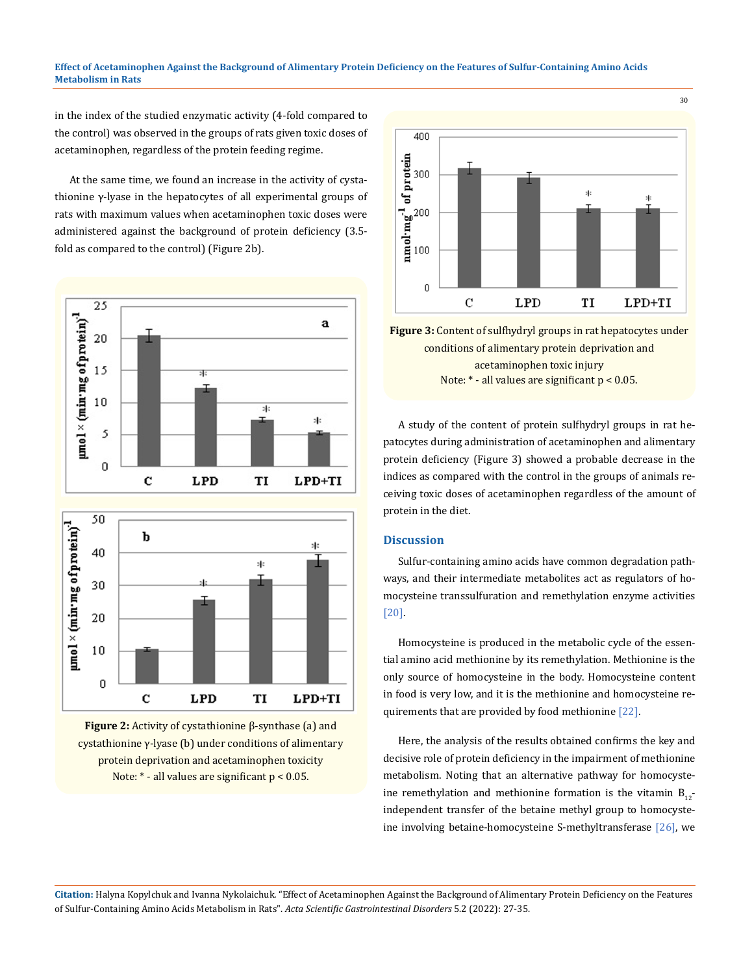in the index of the studied enzymatic activity (4-fold compared to the control) was observed in the groups of rats given toxic doses of acetaminophen, regardless of the protein feeding regime.

At the same time, we found an increase in the activity of cystathionine γ-lyase in the hepatocytes of all experimental groups of rats with maximum values when acetaminophen toxic doses were administered against the background of protein deficiency (3.5 fold as compared to the control) (Figure 2b).



**Figure 2:** Activity of cystathionine β-synthase (a) and cystathionine γ-lyase (b) under conditions of alimentary protein deprivation and acetaminophen toxicity Note: \* - all values are significant p < 0.05.



**Figure 3:** Content of sulfhydryl groups in rat hepatocytes under conditions of alimentary protein deprivation and acetaminophen toxic injury Note: \* - all values are significant p < 0.05.

A study of the content of protein sulfhydryl groups in rat hepatocytes during administration of acetaminophen and alimentary protein deficiency (Figure 3) showed a probable decrease in the indices as compared with the control in the groups of animals receiving toxic doses of acetaminophen regardless of the amount of protein in the diet.

#### **Discussion**

Sulfur-containing amino acids have common degradation pathways, and their intermediate metabolites act as regulators of homocysteine transsulfuration and remethylation enzyme activities [20].

Homocysteine is produced in the metabolic cycle of the essential amino acid methionine by its remethylation. Methionine is the only source of homocysteine in the body. Homocysteine content in food is very low, and it is the methionine and homocysteine requirements that are provided by food methionine [22].

Here, the analysis of the results obtained confirms the key and decisive role of protein deficiency in the impairment of methionine metabolism. Noting that an alternative pathway for homocysteine remethylation and methionine formation is the vitamin  $B_{12}$ independent transfer of the betaine methyl group to homocysteine involving betaine-homocysteine S-methyltransferase [26], we

**Citation:** Нalyna Kopylchuk and Ivanna Nykolaichuk*.* "Effect of Acetaminophen Against the Background of Alimentary Protein Deficiency on the Features of Sulfur-Containing Amino Acids Metabolism in Rats". *Acta Scientific Gastrointestinal Disorders* 5.2 (2022): 27-35.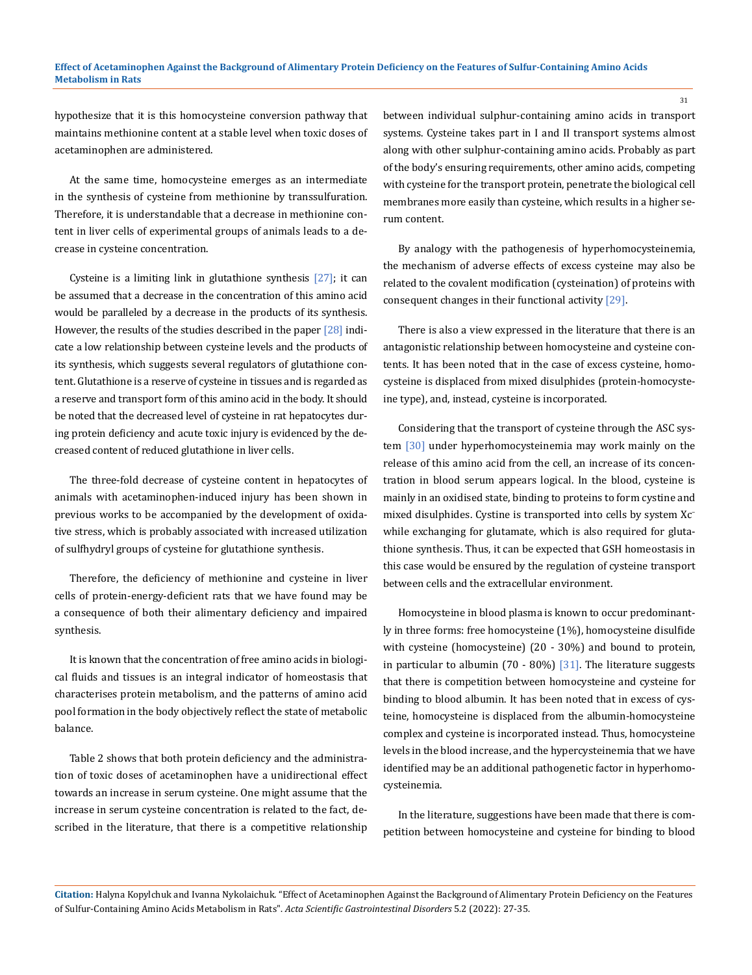hypothesize that it is this homocysteine conversion pathway that maintains methionine content at a stable level when toxic doses of acetaminophen are administered.

At the same time, homocysteine emerges as an intermediate in the synthesis of cysteine from methionine by transsulfuration. Therefore, it is understandable that a decrease in methionine content in liver cells of experimental groups of animals leads to a decrease in cysteine concentration.

Cysteine is a limiting link in glutathione synthesis [27]; it can be assumed that a decrease in the concentration of this amino acid would be paralleled by a decrease in the products of its synthesis. However, the results of the studies described in the paper [28] indicate a low relationship between cysteine levels and the products of its synthesis, which suggests several regulators of glutathione content. Glutathione is a reserve of cysteine in tissues and is regarded as a reserve and transport form of this amino acid in the body. It should be noted that the decreased level of cysteine in rat hepatocytes during protein deficiency and acute toxic injury is evidenced by the decreased content of reduced glutathione in liver cells.

The three-fold decrease of cysteine content in hepatocytes of animals with acetaminophen-induced injury has been shown in previous works to be accompanied by the development of oxidative stress, which is probably associated with increased utilization of sulfhydryl groups of cysteine for glutathione synthesis.

Therefore, the deficiency of methionine and cysteine in liver cells of protein-energy-deficient rats that we have found may be a consequence of both their alimentary deficiency and impaired synthesis.

It is known that the concentration of free amino acids in biological fluids and tissues is an integral indicator of homeostasis that characterises protein metabolism, and the patterns of amino acid pool formation in the body objectively reflect the state of metabolic balance.

Table 2 shows that both protein deficiency and the administration of toxic doses of acetaminophen have a unidirectional effect towards an increase in serum cysteine. One might assume that the increase in serum cysteine concentration is related to the fact, described in the literature, that there is a competitive relationship between individual sulphur-containing amino acids in transport systems. Cysteine takes part in I and II transport systems almost along with other sulphur-containing amino acids. Probably as part of the body's ensuring requirements, other amino acids, competing with cysteine for the transport protein, penetrate the biological cell membranes more easily than cysteine, which results in a higher serum content.

By analogy with the pathogenesis of hyperhomocysteinemia, the mechanism of adverse effects of excess cysteine may also be related to the covalent modification (cysteination) of proteins with consequent changes in their functional activity [29].

There is also a view expressed in the literature that there is an antagonistic relationship between homocysteine and cysteine contents. It has been noted that in the case of excess cysteine, homocysteine is displaced from mixed disulphides (protein-homocysteine type), and, instead, cysteine is incorporated.

Considering that the transport of cysteine through the ASC system [30] under hyperhomocysteinemia may work mainly on the release of this amino acid from the cell, an increase of its concentration in blood serum appears logical. In the blood, cysteine is mainly in an oxidised state, binding to proteins to form cystine and mixed disulphides. Cystine is transported into cells by system Xc<sup>−</sup> while exchanging for glutamate, which is also required for glutathione synthesis. Thus, it can be expected that GSH homeostasis in this case would be ensured by the regulation of cysteine transport between cells and the extracellular environment.

Homocysteine in blood plasma is known to occur predominantly in three forms: free homocysteine (1%), homocysteine disulfide with cysteine (homocysteine) (20 - 30%) and bound to protein, in particular to albumin (70 - 80%) [31]. The literature suggests that there is competition between homocysteine and cysteine for binding to blood albumin. It has been noted that in excess of cysteine, homocysteine is displaced from the albumin-homocysteine complex and cysteine is incorporated instead. Thus, homocysteine levels in the blood increase, and the hypercysteinemia that we have identified may be an additional pathogenetic factor in hyperhomocysteinemia.

In the literature, suggestions have been made that there is competition between homocysteine and cysteine for binding to blood

**Citation:** Нalyna Kopylchuk and Ivanna Nykolaichuk*.* "Effect of Acetaminophen Against the Background of Alimentary Protein Deficiency on the Features of Sulfur-Containing Amino Acids Metabolism in Rats". *Acta Scientific Gastrointestinal Disorders* 5.2 (2022): 27-35.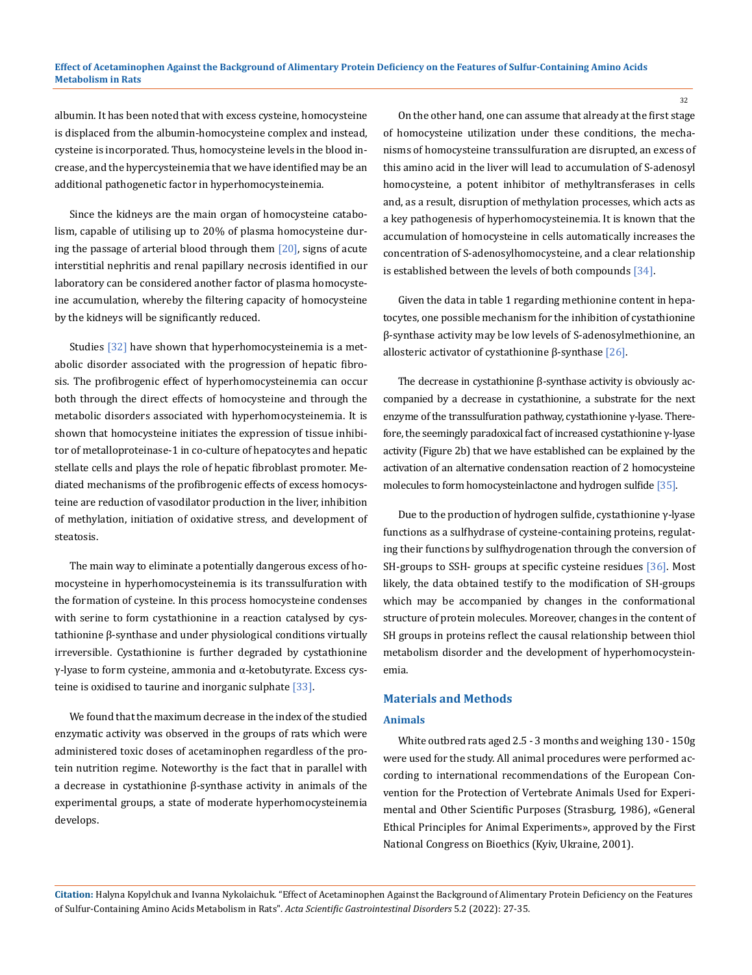albumin. It has been noted that with excess cysteine, homocysteine is displaced from the albumin-homocysteine complex and instead, cysteine is incorporated. Thus, homocysteine levels in the blood increase, and the hypercysteinemia that we have identified may be an additional pathogenetic factor in hyperhomocysteinemia.

Since the kidneys are the main organ of homocysteine catabolism, capable of utilising up to 20% of plasma homocysteine during the passage of arterial blood through them  $[20]$ , signs of acute interstitial nephritis and renal papillary necrosis identified in our laboratory can be considered another factor of plasma homocysteine accumulation, whereby the filtering capacity of homocysteine by the kidneys will be significantly reduced.

Studies [32] have shown that hyperhomocysteinemia is a metabolic disorder associated with the progression of hepatic fibrosis. The profibrogenic effect of hyperhomocysteinemia can occur both through the direct effects of homocysteine and through the metabolic disorders associated with hyperhomocysteinemia. It is shown that homocysteine initiates the expression of tissue inhibitor of metalloproteinase-1 in co-culture of hepatocytes and hepatic stellate cells and plays the role of hepatic fibroblast promoter. Mediated mechanisms of the profibrogenic effects of excess homocysteine are reduction of vasodilator production in the liver, inhibition of methylation, initiation of oxidative stress, and development of steatosis.

The main way to eliminate a potentially dangerous excess of homocysteine in hyperhomocysteinemia is its transsulfuration with the formation of cysteine. In this process homocysteine condenses with serine to form cystathionine in a reaction catalysed by cystathionine β-synthase and under physiological conditions virtually irreversible. Cystathionine is further degraded by cystathionine γ-lyase to form cysteine, ammonia and α-ketobutyrate. Excess cysteine is oxidised to taurine and inorganic sulphate [33].

We found that the maximum decrease in the index of the studied enzymatic activity was observed in the groups of rats which were administered toxic doses of acetaminophen regardless of the protein nutrition regime. Noteworthy is the fact that in parallel with a decrease in cystathionine β-synthase activity in animals of the experimental groups, a state of moderate hyperhomocysteinemia develops.

On the other hand, one can assume that already at the first stage of homocysteine utilization under these conditions, the mechanisms of homocysteine transsulfuration are disrupted, an excess of this amino acid in the liver will lead to accumulation of S-adenosyl homocysteine, a potent inhibitor of methyltransferases in cells and, as a result, disruption of methylation processes, which acts as a key pathogenesis of hyperhomocysteinemia. It is known that the accumulation of homocysteine in cells automatically increases the concentration of S-adenosylhomocysteine, and a clear relationship is established between the levels of both compounds [34].

Given the data in table 1 regarding methionine content in hepatocytes, one possible mechanism for the inhibition of cystathionine β-synthase activity may be low levels of S-adenosylmethionine, an allosteric activator of cystathionine β-synthase  $[26]$ .

The decrease in cystathionine β-synthase activity is obviously accompanied by a decrease in cystathionine, a substrate for the next enzyme of the transsulfuration pathway, cystathionine γ-lyase. Therefore, the seemingly paradoxical fact of increased cystathionine γ-lyase activity (Figure 2b) that we have established can be explained by the activation of an alternative condensation reaction of 2 homocysteine molecules to form homocysteinlactone and hydrogen sulfide [35].

Due to the production of hydrogen sulfide, cystathionine γ-lyase functions as a sulfhydrase of cysteine-containing proteins, regulating their functions by sulfhydrogenation through the conversion of SH-groups to SSH- groups at specific cysteine residues [36]. Most likely, the data obtained testify to the modification of SH-groups which may be accompanied by changes in the conformational structure of protein molecules. Moreover, changes in the content of SH groups in proteins reflect the causal relationship between thiol metabolism disorder and the development of hyperhomocysteinemia.

## **Materials and Methods**

#### **Animals**

White outbred rats aged 2.5 - 3 months and weighing 130 - 150g were used for the study. All animal procedures were performed according to international recommendations of the European Convention for the Protection of Vertebrate Animals Used for Experimental and Other Scientific Purposes (Strasburg, 1986), «General Ethical Principles for Animal Experiments», approved by the First National Congress on Bioethics (Kyiv, Ukraine, 2001).

**Citation:** Нalyna Kopylchuk and Ivanna Nykolaichuk*.* "Effect of Acetaminophen Against the Background of Alimentary Protein Deficiency on the Features of Sulfur-Containing Amino Acids Metabolism in Rats". *Acta Scientific Gastrointestinal Disorders* 5.2 (2022): 27-35.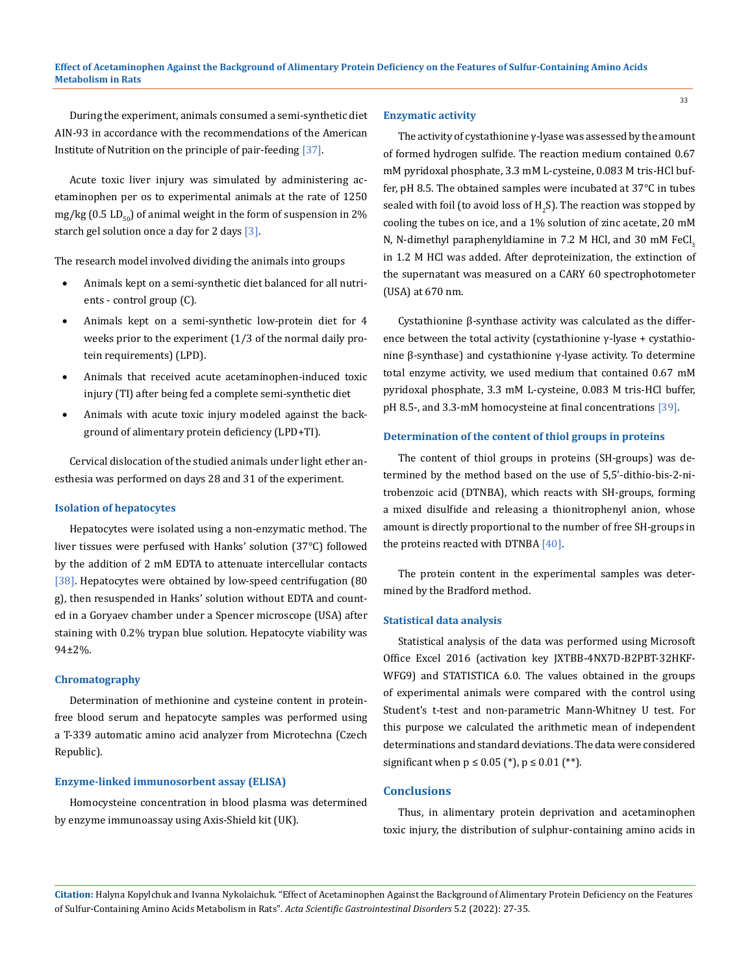During the experiment, animals consumed a semi-synthetic diet AIN-93 in accordance with the recommendations of the American Institute of Nutrition on the principle of рair-feeding [37].

Acute toxic liver injury was simulated by administering acetaminophen per os to experimental animals at the rate of 1250 mg/kg (0.5 LD $_{50}$ ) of animal weight in the form of suspension in 2% starch gel solution once a day for 2 days [3].

The research model involved dividing the animals into groups

- Animals kept on a semi-synthetic diet balanced for all nutrients - control group (C).
- Animals kept on a semi-synthetic low-protein diet for 4 weeks prior to the experiment (1/3 of the normal daily protein requirements) (LPD).
- Animals that received acute acetaminophen-induced toxic injury (TI) after being fed a complete semi-synthetic diet
- Animals with acute toxic injury modeled against the background of alimentary protein deficiency (LPD+TI).

Cervical dislocation of the studied animals under light ether anesthesia was performed on days 28 and 31 of the experiment.

## **Isolation of hepatocytes**

Hepatocytes were isolated using a non-enzymatic method. The liver tissues were perfused with Hanks' solution (37°C) followed by the addition of 2 mM EDTA to attenuate intercellular contacts [38]. Hepatocytes were obtained by low-speed centrifugation (80 g), then resuspended in Hanks' solution without EDTA and counted in a Goryaev chamber under a Spencer microscope (USA) after staining with 0.2% trypan blue solution. Hepatocyte viability was 94±2%.

## **Chromatography**

Determination of methionine and cysteine content in proteinfree blood serum and hepatocyte samples was performed using a T-339 automatic amino acid analyzer from Microtechna (Czech Republic).

#### **Enzyme-linked immunosorbent assay (ELISA)**

Homocysteine concentration in blood plasma was determined by enzyme immunoassay using Axis-Shield kit (UK).

#### **Enzymatic activity**

The activity of cystathionine γ-lyase was assessed by the amount of formed hydrogen sulfide. The reaction medium contained 0.67 mM pyridoxal phosphate, 3.3 mM L-cysteine, 0.083 M tris-HCl buffer, pH 8.5. The obtained samples were incubated at 37°C in tubes sealed with foil (to avoid loss of  $\rm H_2 S$ ). The reaction was stopped by cooling the tubes on ice, and a 1% solution of zinc acetate, 20 mM N, N-dimethyl paraphenyldiamine in 7.2 M HCl, and 30 mM FeCl, in 1.2 M HCl was added. After deproteinization, the extinction of the supernatant was measured on a CARY 60 spectrophotometer (USA) at 670 nm.

Cystathionine β-synthase activity was calculated as the difference between the total activity (cystathionine γ-lyase + cystathionine β-synthase) and cystathionine γ-lyase activity. To determine total enzyme activity, we used medium that contained 0.67 mM pyridoxal phosphate, 3.3 mM L-cysteine, 0.083 M tris-HCl buffer, pH 8.5-, and 3.3-mM homocysteine at final concentrations [39].

## **Determination of the content of thiol groups in proteins**

The content of thiol groups in proteins (SH-groups) was determined by the method based on the use of 5,5'-dithio-bis-2-nitrobenzoic acid (DTNBA), which reacts with SH-groups, forming a mixed disulfide and releasing a thionitrophenyl anion, whose amount is directly proportional to the number of free SH-groups in the proteins reacted with DTNBA [40].

The protein content in the experimental samples was determined by the Bradford method.

#### **Statistical data analysis**

Statistical analysis of the data was performed using Microsoft Office Excel 2016 (activation key JXTBB-4NX7D-B2PBT-32HKF-WFG9) and STATISTICA 6.0. The values obtained in the groups of experimental animals were compared with the control using Student's t-test and non-parametric Mann-Whitney U test. For this purpose we calculated the arithmetic mean of independent determinations and standard deviations. The data were considered significant when  $p \le 0.05$  (\*),  $p \le 0.01$  (\*\*).

## **Conclusions**

Thus, in alimentary protein deprivation and acetaminophen toxic injury, the distribution of sulphur-containing amino acids in

**Citation:** Нalyna Kopylchuk and Ivanna Nykolaichuk*.* "Effect of Acetaminophen Against the Background of Alimentary Protein Deficiency on the Features of Sulfur-Containing Amino Acids Metabolism in Rats". *Acta Scientific Gastrointestinal Disorders* 5.2 (2022): 27-35.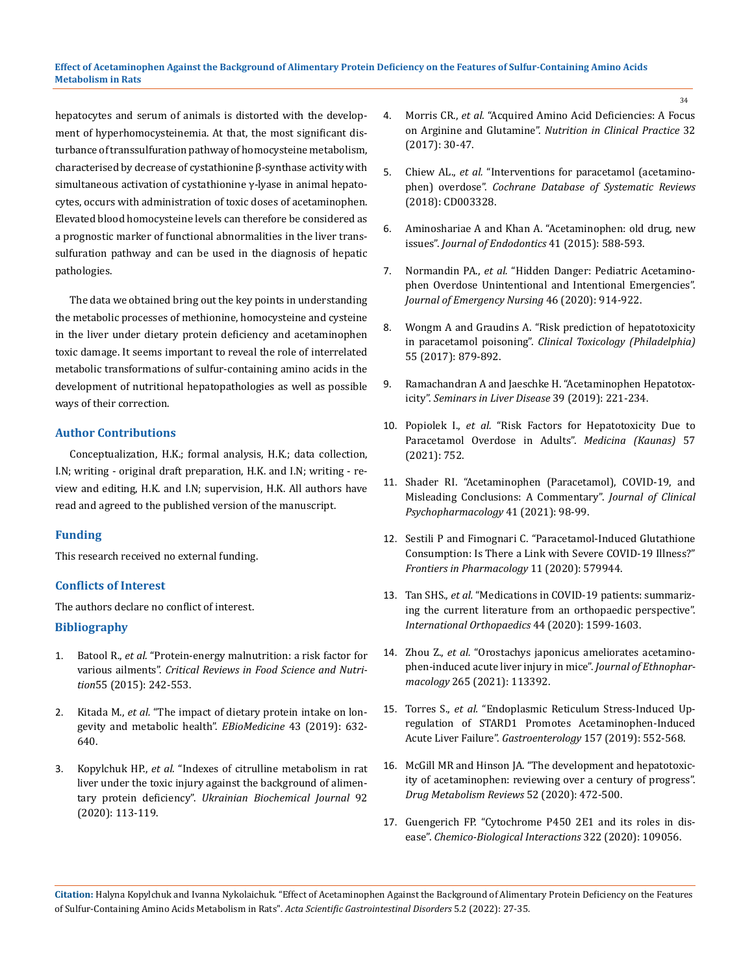hepatocytes and serum of animals is distorted with the development of hyperhomocysteinemia. At that, the most significant disturbance of transsulfuration pathway of homocysteine metabolism, characterised by decrease of cystathionine β-synthase activity with simultaneous activation of cystathionine γ-lyase in animal hepatocytes, occurs with administration of toxic doses of acetaminophen. Elevated blood homocysteine levels can therefore be considered as a prognostic marker of functional abnormalities in the liver transsulfuration pathway and can be used in the diagnosis of hepatic pathologies.

The data we obtained bring out the key points in understanding the metabolic processes of methionine, homocysteine and cysteine in the liver under dietary protein deficiency and acetaminophen toxic damage. It seems important to reveal the role of interrelated metabolic transformations of sulfur-containing amino acids in the development of nutritional hepatopathologies as well as possible ways of their correction.

## **Author Contributions**

Conceptualization, H.K.; formal analysis, H.K.; data collection, I.N; writing - original draft preparation, H.K. and I.N; writing - review and editing, H.K. and I.N; supervision, H.K. All authors have read and agreed to the published version of the manuscript.

## **Funding**

This research received no external funding.

## **Conflicts of Interest**

The authors declare no conflict of interest.

## **Bibliography**

- 1. Batool R., *et al.* ["Protein-energy malnutrition: a risk factor for](https://pubmed.ncbi.nlm.nih.gov/24915388/)  various ailments". *[Critical Reviews in Food Science and Nutri](https://pubmed.ncbi.nlm.nih.gov/24915388/)tion*[55 \(2015\): 242-553.](https://pubmed.ncbi.nlm.nih.gov/24915388/)
- 2. Kitada M., *et al.* ["The impact of dietary protein intake on lon](https://pubmed.ncbi.nlm.nih.gov/30975545/)[gevity and metabolic health".](https://pubmed.ncbi.nlm.nih.gov/30975545/) *EBioMedicine* 43 (2019): 632- [640.](https://pubmed.ncbi.nlm.nih.gov/30975545/)
- 3. Kopylchuk HP., *et al.* ["Indexes of citrulline metabolism in rat](https://www.researchgate.net/publication/339119011_Indexes_of_citrulline_metabolism_in_rat_liver_under_the_toxic_injury_against_the_background_of_alimentary_protein_deficiency)  [liver under the toxic injury against the background of alimen](https://www.researchgate.net/publication/339119011_Indexes_of_citrulline_metabolism_in_rat_liver_under_the_toxic_injury_against_the_background_of_alimentary_protein_deficiency)tary protein deficiency". *[Ukrainian Biochemical Journal](https://www.researchgate.net/publication/339119011_Indexes_of_citrulline_metabolism_in_rat_liver_under_the_toxic_injury_against_the_background_of_alimentary_protein_deficiency)* 92 [\(2020\): 113-119.](https://www.researchgate.net/publication/339119011_Indexes_of_citrulline_metabolism_in_rat_liver_under_the_toxic_injury_against_the_background_of_alimentary_protein_deficiency)
- 4. Morris CR., *et al.* ["Acquired Amino Acid Deficiencies: A Focus](https://pubmed.ncbi.nlm.nih.gov/28388380/)  on Arginine and Glutamine". *[Nutrition in Clinical Practice](https://pubmed.ncbi.nlm.nih.gov/28388380/)* 32 [\(2017\): 30-47.](https://pubmed.ncbi.nlm.nih.gov/28388380/)
- 5. Chiew AL., *et al.* ["Interventions for paracetamol \(acetamino](https://pubmed.ncbi.nlm.nih.gov/29473717/)phen) overdose". *[Cochrane Database of Systematic Reviews](https://pubmed.ncbi.nlm.nih.gov/29473717/)* [\(2018\): CD003328.](https://pubmed.ncbi.nlm.nih.gov/29473717/)
- 6. [Aminoshariae A and Khan A. "Acetaminophen: old drug, new](https://pubmed.ncbi.nlm.nih.gov/25732401/)  issues". *[Journal of Endodontics](https://pubmed.ncbi.nlm.nih.gov/25732401/)* 41 (2015): 588-593.
- 7. Normandin PA., *et al.* ["Hidden Danger: Pediatric Acetamino](https://pubmed.ncbi.nlm.nih.gov/32943216/)[phen Overdose Unintentional and Intentional Emergencies".](https://pubmed.ncbi.nlm.nih.gov/32943216/)  *[Journal of Emergency Nursing](https://pubmed.ncbi.nlm.nih.gov/32943216/)* 46 (2020): 914-922.
- 8. [Wongm A and Graudins A. "Risk prediction of hepatotoxicity](https://www.tandfonline.com/doi/abs/10.1080/15563650.2017.1317349?journalCode=ictx20)  in paracetamol poisoning". *[Clinical Toxicology \(Philadelphia\)](https://www.tandfonline.com/doi/abs/10.1080/15563650.2017.1317349?journalCode=ictx20)*  [55 \(2017\): 879-892.](https://www.tandfonline.com/doi/abs/10.1080/15563650.2017.1317349?journalCode=ictx20)
- 9. [Ramachandran A and Jaeschke H. "Acetaminophen Hepatotox](https://pubmed.ncbi.nlm.nih.gov/30849782/)icity". *[Seminars in Liver Disease](https://pubmed.ncbi.nlm.nih.gov/30849782/)* 39 (2019): 221-234.
- 10. Popiolek I., *et al.* ["Risk Factors for Hepatotoxicity Due to](https://www.mdpi.com/1648-9144/57/8/752/htm)  [Paracetamol Overdose in Adults".](https://www.mdpi.com/1648-9144/57/8/752/htm) *Medicina (Kaunas)* 57 [\(2021\): 752.](https://www.mdpi.com/1648-9144/57/8/752/htm)
- 11. [Shader RI. "Acetaminophen \(Paracetamol\), COVID-19, and](https://pubmed.ncbi.nlm.nih.gov/33443969/)  [Misleading Conclusions: A Commentary".](https://pubmed.ncbi.nlm.nih.gov/33443969/) *Journal of Clinical [Psychopharmacology](https://pubmed.ncbi.nlm.nih.gov/33443969/)* 41 (2021): 98-99.
- 12. [Sestili P and Fimognari C. "Paracetamol-Induced Glutathione](https://www.frontiersin.org/articles/10.3389/fphar.2020.579944/full)  [Consumption: Is There a Link with Severe COVID-19 Illness?"](https://www.frontiersin.org/articles/10.3389/fphar.2020.579944/full)  *[Frontiers in Pharmacology](https://www.frontiersin.org/articles/10.3389/fphar.2020.579944/full)* 11 (2020): 579944.
- 13. Tan SHS., *et al.* ["Medications in COVID-19 patients: summariz](https://pubmed.ncbi.nlm.nih.gov/32445030/)[ing the current literature from an orthopaedic perspective".](https://pubmed.ncbi.nlm.nih.gov/32445030/)  *[International Orthopaedics](https://pubmed.ncbi.nlm.nih.gov/32445030/)* 44 (2020): 1599-1603.
- 14. Zhou Z., *et al.* ["Orostachys japonicus ameliorates acetamino](https://pubmed.ncbi.nlm.nih.gov/32946962/)[phen-induced acute liver injury in mice".](https://pubmed.ncbi.nlm.nih.gov/32946962/) *Journal of Ethnopharmacology* [265 \(2021\): 113392.](https://pubmed.ncbi.nlm.nih.gov/32946962/)
- 15. Torres S., *et al.* ["Endoplasmic Reticulum Stress-Induced Up](https://pubmed.ncbi.nlm.nih.gov/31029706/)[regulation of STARD1 Promotes Acetaminophen-Induced](https://pubmed.ncbi.nlm.nih.gov/31029706/)  Acute Liver Failure". *Gastroenterology* [157 \(2019\): 552-568.](https://pubmed.ncbi.nlm.nih.gov/31029706/)
- 16. [McGill MR and Hinson JA. "The development and hepatotoxic](https://pubmed.ncbi.nlm.nih.gov/33103516/)[ity of acetaminophen: reviewing over a century of progress".](https://pubmed.ncbi.nlm.nih.gov/33103516/)  *[Drug Metabolism Reviews](https://pubmed.ncbi.nlm.nih.gov/33103516/)* 52 (2020): 472-500.
- 17. [Guengerich FP. "Cytochrome P450 2E1 and its roles in dis](https://pubmed.ncbi.nlm.nih.gov/32198084/)ease". *[Chemico-Biological Interactions](https://pubmed.ncbi.nlm.nih.gov/32198084/)* 322 (2020): 109056.

**Citation:** Нalyna Kopylchuk and Ivanna Nykolaichuk*.* "Effect of Acetaminophen Against the Background of Alimentary Protein Deficiency on the Features of Sulfur-Containing Amino Acids Metabolism in Rats". *Acta Scientific Gastrointestinal Disorders* 5.2 (2022): 27-35.